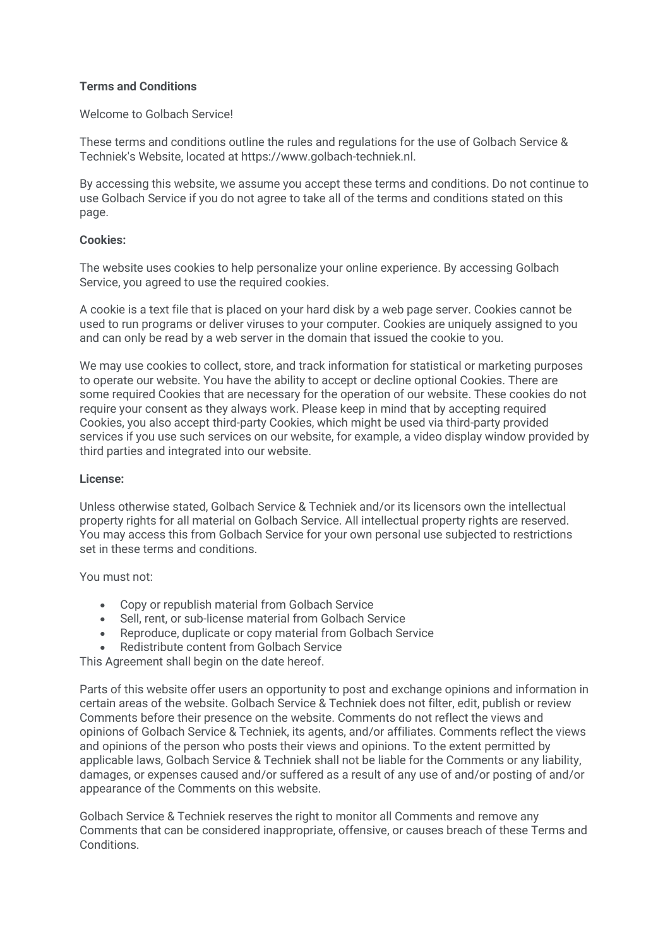# **Terms and Conditions**

## Welcome to Golbach Service!

These terms and conditions outline the rules and regulations for the use of Golbach Service & Techniek's Website, located at https://www.golbach-techniek.nl.

By accessing this website, we assume you accept these terms and conditions. Do not continue to use Golbach Service if you do not agree to take all of the terms and conditions stated on this page.

#### **Cookies:**

The website uses cookies to help personalize your online experience. By accessing Golbach Service, you agreed to use the required cookies.

A cookie is a text file that is placed on your hard disk by a web page server. Cookies cannot be used to run programs or deliver viruses to your computer. Cookies are uniquely assigned to you and can only be read by a web server in the domain that issued the cookie to you.

We may use cookies to collect, store, and track information for statistical or marketing purposes to operate our website. You have the ability to accept or decline optional Cookies. There are some required Cookies that are necessary for the operation of our website. These cookies do not require your consent as they always work. Please keep in mind that by accepting required Cookies, you also accept third-party Cookies, which might be used via third-party provided services if you use such services on our website, for example, a video display window provided by third parties and integrated into our website.

#### **License:**

Unless otherwise stated, Golbach Service & Techniek and/or its licensors own the intellectual property rights for all material on Golbach Service. All intellectual property rights are reserved. You may access this from Golbach Service for your own personal use subjected to restrictions set in these terms and conditions.

You must not:

- Copy or republish material from Golbach Service
- Sell, rent, or sub-license material from Golbach Service
- Reproduce, duplicate or copy material from Golbach Service
- Redistribute content from Golbach Service

This Agreement shall begin on the date hereof.

Parts of this website offer users an opportunity to post and exchange opinions and information in certain areas of the website. Golbach Service & Techniek does not filter, edit, publish or review Comments before their presence on the website. Comments do not reflect the views and opinions of Golbach Service & Techniek, its agents, and/or affiliates. Comments reflect the views and opinions of the person who posts their views and opinions. To the extent permitted by applicable laws, Golbach Service & Techniek shall not be liable for the Comments or any liability, damages, or expenses caused and/or suffered as a result of any use of and/or posting of and/or appearance of the Comments on this website.

Golbach Service & Techniek reserves the right to monitor all Comments and remove any Comments that can be considered inappropriate, offensive, or causes breach of these Terms and Conditions.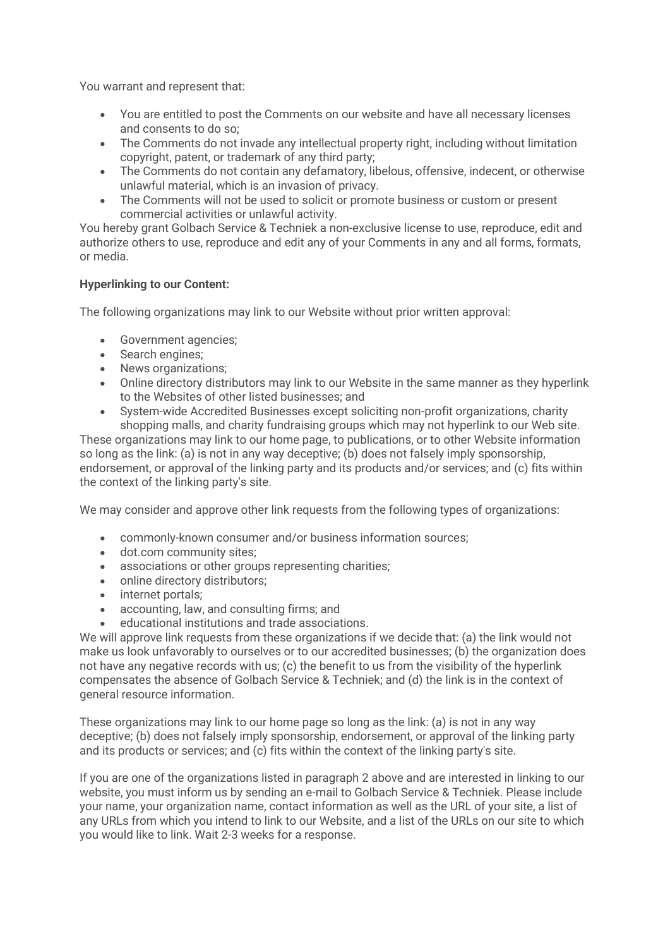You warrant and represent that:

- You are entitled to post the Comments on our website and have all necessary licenses and consents to do so;
- The Comments do not invade any intellectual property right, including without limitation copyright, patent, or trademark of any third party;
- The Comments do not contain any defamatory, libelous, offensive, indecent, or otherwise unlawful material, which is an invasion of privacy.
- The Comments will not be used to solicit or promote business or custom or present commercial activities or unlawful activity.

You hereby grant Golbach Service & Techniek a non-exclusive license to use, reproduce, edit and authorize others to use, reproduce and edit any of your Comments in any and all forms, formats, or media.

## **Hyperlinking to our Content:**

The following organizations may link to our Website without prior written approval:

- Government agencies;
- Search engines;
- News organizations;
- Online directory distributors may link to our Website in the same manner as they hyperlink to the Websites of other listed businesses; and
- System-wide Accredited Businesses except soliciting non-profit organizations, charity shopping malls, and charity fundraising groups which may not hyperlink to our Web site.

These organizations may link to our home page, to publications, or to other Website information so long as the link: (a) is not in any way deceptive; (b) does not falsely imply sponsorship, endorsement, or approval of the linking party and its products and/or services; and (c) fits within the context of the linking party's site.

We may consider and approve other link requests from the following types of organizations:

- commonly-known consumer and/or business information sources;
- dot.com community sites;
- associations or other groups representing charities;
- online directory distributors;
- internet portals;
- accounting, law, and consulting firms; and
- educational institutions and trade associations.

We will approve link requests from these organizations if we decide that: (a) the link would not make us look unfavorably to ourselves or to our accredited businesses; (b) the organization does not have any negative records with us; (c) the benefit to us from the visibility of the hyperlink compensates the absence of Golbach Service & Techniek; and (d) the link is in the context of general resource information.

These organizations may link to our home page so long as the link: (a) is not in any way deceptive; (b) does not falsely imply sponsorship, endorsement, or approval of the linking party and its products or services; and (c) fits within the context of the linking party's site.

If you are one of the organizations listed in paragraph 2 above and are interested in linking to our website, you must inform us by sending an e-mail to Golbach Service & Techniek. Please include your name, your organization name, contact information as well as the URL of your site, a list of any URLs from which you intend to link to our Website, and a list of the URLs on our site to which you would like to link. Wait 2-3 weeks for a response.